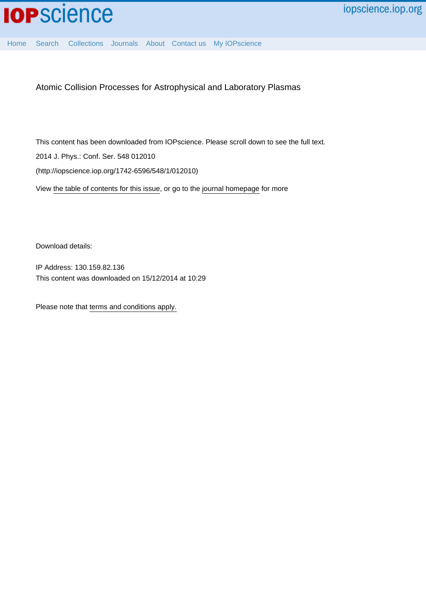

[Home](http://iopscience.iop.org/) [Search](http://iopscience.iop.org/search) [Collections](http://iopscience.iop.org/collections) [Journals](http://iopscience.iop.org/journals) [About](http://iopscience.iop.org/page/aboutioppublishing) [Contact us](http://iopscience.iop.org/contact) [My IOPscience](http://iopscience.iop.org/myiopscience)

Atomic Collision Processes for Astrophysical and Laboratory Plasmas

This content has been downloaded from IOPscience. Please scroll down to see the full text. View [the table of contents for this issue](http://iopscience.iop.org/1742-6596/548/1), or go to the [journal homepage](http://iopscience.iop.org/1742-6596) for more 2014 J. Phys.: Conf. Ser. 548 012010 (http://iopscience.iop.org/1742-6596/548/1/012010)

Download details:

IP Address: 130.159.82.136 This content was downloaded on 15/12/2014 at 10:29

Please note that [terms and conditions apply.](iopscience.iop.org/page/terms)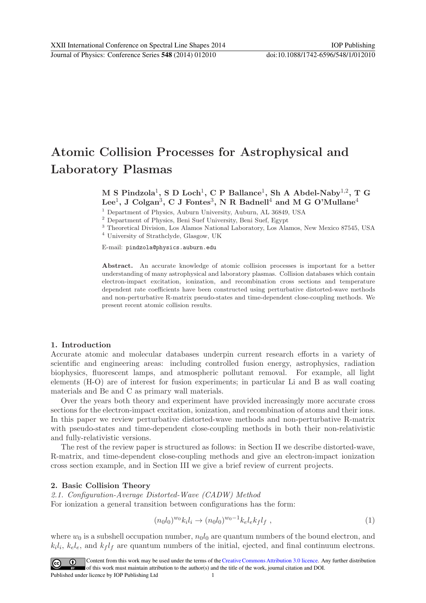# **Atomic Collision Processes for Astrophysical and Laboratory Plasmas**

## **M S Pindzola**1**, S D Loch**1**, C P Ballance**1**, Sh A Abdel-Naby**1,2**,TG Lee**1**, J Colgan**3**, C J Fontes**3**, N R Badnell**<sup>4</sup> **and M G O'Mullane**<sup>4</sup>

 $^1$  Department of Physics, Auburn University, Auburn, AL 36849, USA  $^2$  Department of Physics, Beni Suef University, Beni Suef, Egypt  $^3$  Theoretical Division, Los Alamos National Laboratory, Los Alamos, New Mexico 875

<sup>4</sup> University of Strathclyde, Glasgow, UK

E-mail: pindzola@physics.auburn.edu

**Abstract.** An accurate knowledge of atomic collision processes is important for a better understanding of many astrophysical and laboratory plasmas. Collision databases which contain electron-impact excitation, ionization, and recombination cross sections and temperature dependent rate coefficients have been constructed using perturbative distorted-wave methods and non-perturbative R-matrix pseudo-states and time-dependent close-coupling methods. We present recent atomic collision results.

#### **1. Introduction**

Accurate atomic and molecular databases underpin current research efforts in a variety of scientific and engineering areas: including controlled fusion energy, astrophysics, radiation biophysics, fluorescent lamps, and atmospheric pollutant removal. For example, all light elements (H-O) are of interest for fusion experiments; in particular Li and B as wall coating materials and Be and C as primary wall materials.

Over the years both theory and experiment have provided increasingly more accurate cross sections for the electron-impact excitation, ionization, and recombination of atoms and their ions. In this paper we review perturbative distorted-wave methods and non-perturbative R-matrix with pseudo-states and time-dependent close-coupling methods in both their non-relativistic and fully-relativistic versions.

The rest of the review paper is structured as follows: in Section II we describe distorted-wave, R-matrix, and time-dependent close-coupling methods and give an electron-impact ionization cross section example, and in Section III we give a brief review of current projects.

#### **2. Basic Collision Theory**

2.1. Configuration-Average Distorted-Wave (CADW) Method For ionization a general transition between configurations has the form:

$$
(n_0 l_0)^{w_0} k_i l_i \to (n_0 l_0)^{w_0 - 1} k_e l_e k_f l_f , \qquad (1)
$$

where  $w_0$  is a subshell occupation number,  $n_0l_0$  are quantum numbers of the bound electron, and  $k_i l_i$ ,  $k_e l_e$ , and  $k_f l_f$  are quantum numbers of the initial, ejected, and final continuum electrons.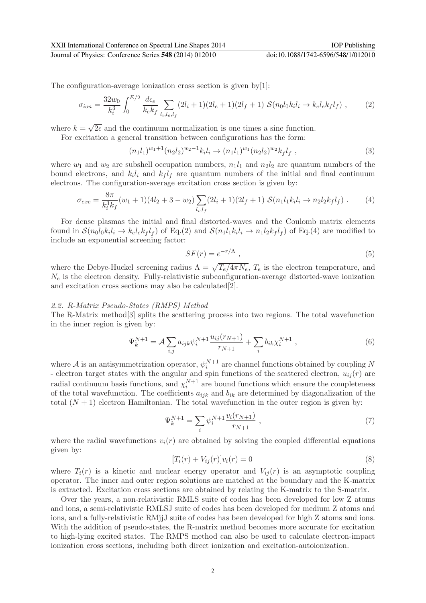XXII International Conference on Spectral Line Shapes 2014 IOP Publishing Journal of Physics: Conference Series **548** (2014) 012010 doi:10.1088/1742-6596/548/1/012010

The configuration-average ionization cross section is given by[1]:

$$
\sigma_{ion} = \frac{32w_0}{k_i^3} \int_0^{E/2} \frac{d\epsilon_e}{k_e k_f} \sum_{l_i, l_e, l_f} (2l_i + 1)(2l_e + 1)(2l_f + 1) \mathcal{S}(n_0 l_0 k_i l_i \to k_e l_e k_f l_f) , \qquad (2)
$$

where  $k = \sqrt{2\epsilon}$  and the continuum normalization is one times a sine function.

For excitation a general transition between configurations has the form:

$$
(n_1l_1)^{w_1+1}(n_2l_2)^{w_2-1}k_il_i \to (n_1l_1)^{w_1}(n_2l_2)^{w_2}kf_lf , \qquad (3)
$$

where  $w_1$  and  $w_2$  are subshell occupation numbers,  $n_1l_1$  and  $n_2l_2$  are quantum numbers of the bound electrons, and  $k<sub>i</sub>l<sub>i</sub>$  and  $k<sub>f</sub>l<sub>f</sub>$  are quantum numbers of the initial and final continuum electrons. The configuration-average excitation cross section is given by:

$$
\sigma_{exc} = \frac{8\pi}{k_i^3 k_f} (w_1 + 1)(4l_2 + 3 - w_2) \sum_{l_i, l_f} (2l_i + 1)(2l_f + 1) S(n_1 l_1 k_i l_i \to n_2 l_2 k_f l_f).
$$
 (4)

For dense plasmas the initial and final distorted-waves and the Coulomb matrix elements found in  $\mathcal{S}(n_0l_0k_il_i \rightarrow k_\text{e}l_\text{e}k_\text{f}l_\text{f})$  of Eq.(2) and  $\mathcal{S}(n_1l_1k_il_i \rightarrow n_1l_2k_\text{f}l_\text{f})$  of Eq.(4) are modified to include an exponential screening factor:

$$
SF(r) = e^{-r/\Lambda},\tag{5}
$$

where the Debye-Huckel screening radius  $\Lambda = \sqrt{T_e/4\pi N_e}$ ,  $T_e$  is the electron temperature, and  $N_e$  is the electron density. Fully-relativistic subconfiguration-average distorted-wave ionization and excitation cross sections may also be calculated[2].

#### 2.2. R-Matrix Pseudo-States (RMPS) Method

The R-Matrix method[3] splits the scattering process into two regions. The total wavefunction in the inner region is given by:

$$
\Psi_k^{N+1} = \mathcal{A} \sum_{i,j} a_{ijk} \psi_i^{N+1} \frac{u_{ij}(r_{N+1})}{r_{N+1}} + \sum_i b_{ik} \chi_i^{N+1} , \qquad (6)
$$

where A is an antisymmetrization operator,  $\psi_i^{N+1}$  are channel functions obtained by coupling N - electron target states with the angular and spin functions of the scattered electron,  $u_{ij}(r)$  are radial continuum basis functions, and  $\chi_i^{N+1}$  are bound functions which ensure the completeness of the total wavefunction. The coefficients  $a_{ijk}$  and  $b_{ik}$  are determined by diagonalization of the total  $(N + 1)$  electron Hamiltonian. The total wavefunction in the outer region is given by:

$$
\Psi_k^{N+1} = \sum_i \psi_i^{N+1} \frac{v_i(r_{N+1})}{r_{N+1}}, \qquad (7)
$$

where the radial wavefunctions  $v_i(r)$  are obtained by solving the coupled differential equations given by:

$$
[T_i(r) + V_{ij}(r)]v_i(r) = 0
$$
\n(8)

where  $T_i(r)$  is a kinetic and nuclear energy operator and  $V_{ij}(r)$  is an asymptotic coupling operator. The inner and outer region solutions are matched at the boundary and the K-matrix is extracted. Excitation cross sections are obtained by relating the K-matrix to the S-matrix.

Over the years, a non-relativistic RMLS suite of codes has been developed for low Z atoms and ions, a semi-relativistic RMLSJ suite of codes has been developed for medium Z atoms and ions, and a fully-relativistic RMjjJ suite of codes has been developed for high Z atoms and ions. With the addition of pseudo-states, the R-matrix method becomes more accurate for excitation to high-lying excited states. The RMPS method can also be used to calculate electron-impact ionization cross sections, including both direct ionization and excitation-autoionization.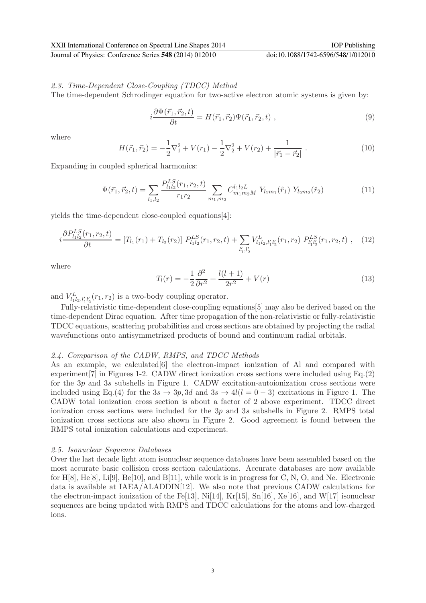### 2.3. Time-Dependent Close-Coupling (TDCC) Method

The time-dependent Schrodinger equation for two-active electron atomic systems is given by:

$$
i\frac{\partial \Psi(\vec{r}_1, \vec{r}_2, t)}{\partial t} = H(\vec{r}_1, \vec{r}_2) \Psi(\vec{r}_1, \vec{r}_2, t) , \qquad (9)
$$

where

$$
H(\vec{r}_1, \vec{r}_2) = -\frac{1}{2}\nabla_1^2 + V(r_1) - \frac{1}{2}\nabla_2^2 + V(r_2) + \frac{1}{|\vec{r}_1 - \vec{r}_2|}.
$$
 (10)

Expanding in coupled spherical harmonics:

$$
\Psi(\vec{r}_1, \vec{r}_2, t) = \sum_{l_1, l_2} \frac{P_{l_1 l_2}^{LS}(r_1, r_2, t)}{r_1 r_2} \sum_{m_1, m_2} C_{m_1 m_2 M}^{l_1 l_2 L} Y_{l_1 m_1}(\hat{r}_1) Y_{l_2 m_2}(\hat{r}_2)
$$
\n(11)

yields the time-dependent close-coupled equations[4]:

$$
i\frac{\partial P_{l_1l_2}^{LS}(r_1,r_2,t)}{\partial t} = [T_{l_1}(r_1) + T_{l_2}(r_2)] \ P_{l_1l_2}^{LS}(r_1,r_2,t) + \sum_{l'_1,l'_2} V_{l_1l_2,l'_1l'_2}^{L}(r_1,r_2) \ P_{l'_1l'_2}^{LS}(r_1,r_2,t) , \quad (12)
$$

where

$$
T_l(r) = -\frac{1}{2}\frac{\partial^2}{\partial r^2} + \frac{l(l+1)}{2r^2} + V(r)
$$
\n(13)

and  $V_{l_1l_2,l'_1l'_2}^L(r_1,r_2)$  is a two-body coupling operator.

Fully-relativistic time-dependent close-coupling equations[5] may also be derived based on the time-dependent Dirac equation. After time propagation of the non-relativistic or fully-relativistic TDCC equations, scattering probabilities and cross sections are obtained by projecting the radial wavefunctions onto antisymmetrized products of bound and continuum radial orbitals.

#### 2.4. Comparison of the CADW, RMPS, and TDCC Methods

As an example, we calculated [6] the electron-impact ionization of Al and compared with experiment[7] in Figures 1-2. CADW direct ionization cross sections were included using Eq.(2) for the  $3p$  and  $3s$  subshells in Figure 1. CADW excitation-autoionization cross sections were included using Eq.(4) for the  $3s \rightarrow 3p$ , 3d and  $3s \rightarrow 4l(l = 0 - 3)$  excitations in Figure 1. The CADW total ionization cross section is about a factor of 2 above experiment. TDCC direct ionization cross sections were included for the 3p and 3s subshells in Figure 2. RMPS total ionization cross sections are also shown in Figure 2. Good agreement is found between the RMPS total ionization calculations and experiment.

#### 2.5. Isonuclear Sequence Databases

Over the last decade light atom isonuclear sequence databases have been assembled based on the most accurate basic collision cross section calculations. Accurate databases are now available for H[8], He[8], Li[9], Be[10], and B[11], while work is in progress for C, N, O, and Ne. Electronic data is available at IAEA/ALADDIN[12]. We also note that previous CADW calculations for the electron-impact ionization of the Fe[13], Ni[14], Kr[15], Sn[16], Xe[16], and W[17] isonuclear sequences are being updated with RMPS and TDCC calculations for the atoms and low-charged ions.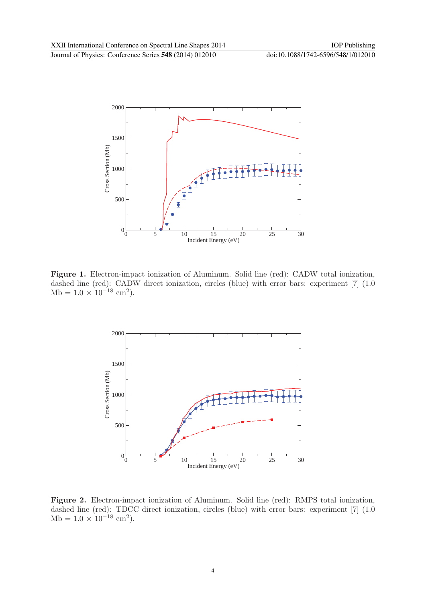

Figure 1. Electron-impact ionization of Aluminum. Solid line (red): CADW total ionization, dashed line (red): CADW direct ionization, circles (blue) with error bars: experiment [7] (1.0)  $Mb = 1.0 \times 10^{-18}$  cm<sup>2</sup>).



**Figure 2.** Electron-impact ionization of Aluminum. Solid line (red): RMPS total ionization, dashed line (red): TDCC direct ionization, circles (blue) with error bars: experiment [7] (1.0 Mb =  $1.0 \times 10^{-18}$  cm<sup>2</sup>).